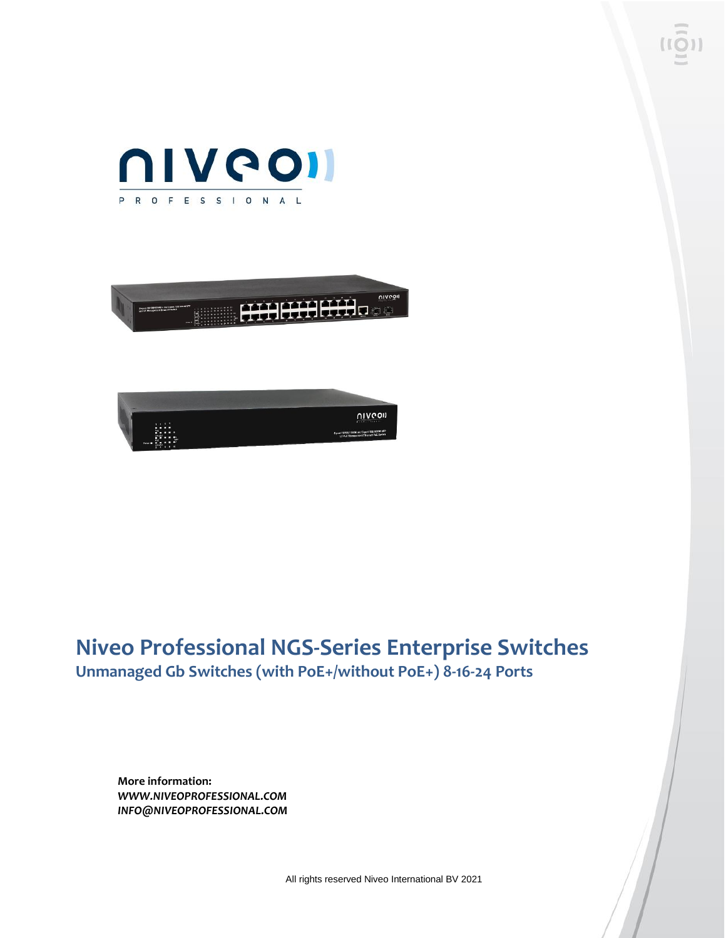





### **Niveo Professional NGS-Series Enterprise Switches Unmanaged Gb Switches (with PoE+/without PoE+) 8-16-24 Ports**

**More information:** *WWW.NIVEOPROFESSIONAL.COM INFO@NIVEOPROFESSIONAL.COM*

All rights reserved Niveo International BV 2021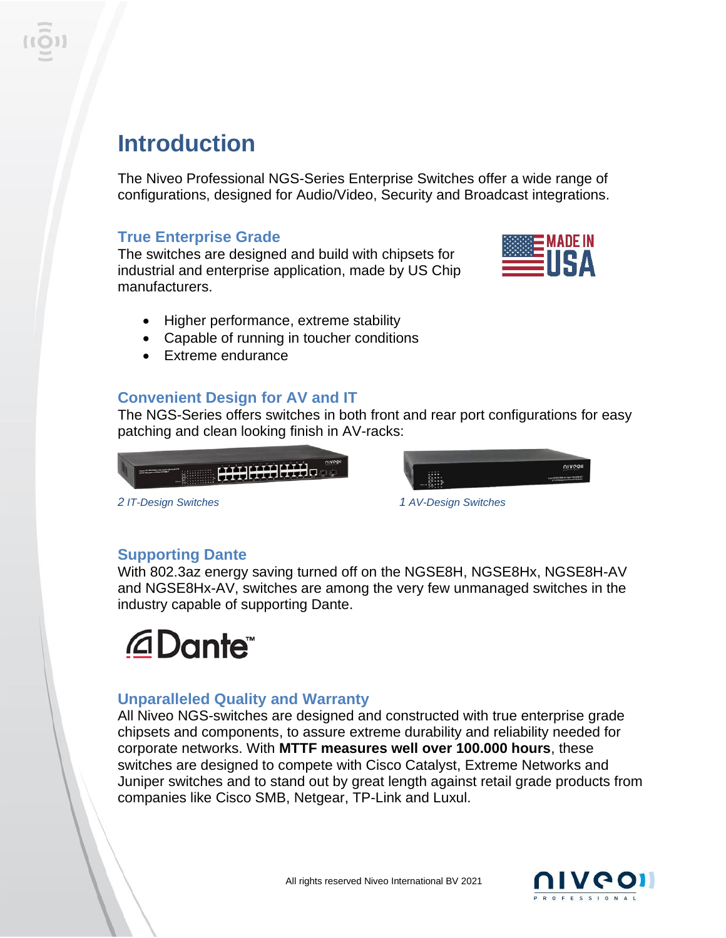## **Introduction**

The Niveo Professional NGS-Series Enterprise Switches offer a wide range of configurations, designed for Audio/Video, Security and Broadcast integrations.

### **True Enterprise Grade**

The switches are designed and build with chipsets for industrial and enterprise application, made by US Chip manufacturers.



- Higher performance, extreme stability
- Capable of running in toucher conditions
- Extreme endurance

### **Convenient Design for AV and IT**

The NGS-Series offers switches in both front and rear port configurations for easy patching and clean looking finish in AV-racks:



*2 IT-Design Switches 1 AV-Design Switches*



### **Supporting Dante**

With 802.3az energy saving turned off on the NGSE8H, NGSE8Hx, NGSE8H-AV and NGSE8Hx-AV, switches are among the very few unmanaged switches in the industry capable of supporting Dante.

# **@Dante**

### **Unparalleled Quality and Warranty**

All Niveo NGS-switches are designed and constructed with true enterprise grade chipsets and components, to assure extreme durability and reliability needed for corporate networks. With **MTTF measures well over 100.000 hours**, these switches are designed to compete with Cisco Catalyst, Extreme Networks and Juniper switches and to stand out by great length against retail grade products from companies like Cisco SMB, Netgear, TP-Link and Luxul.

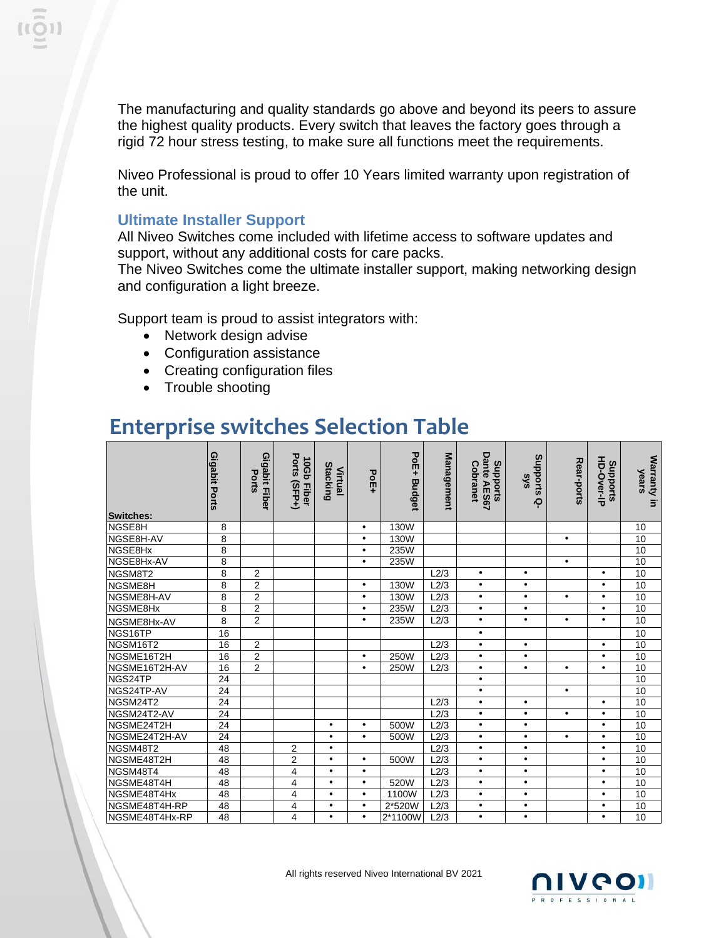The manufacturing and quality standards go above and beyond its peers to assure the highest quality products. Every switch that leaves the factory goes through a rigid 72 hour stress testing, to make sure all functions meet the requirements.

Niveo Professional is proud to offer 10 Years limited warranty upon registration of the unit.

#### **Ultimate Installer Support**

All Niveo Switches come included with lifetime access to software updates and support, without any additional costs for care packs.

The Niveo Switches come the ultimate installer support, making networking design and configuration a light breeze.

Support team is proud to assist integrators with:

- Network design advise
- Configuration assistance
- Creating configuration files
- Trouble shooting

## **Enterprise switches Selection Table**

| Switches:      | Gigabit Ports   | Gigabit Fiber<br>Ports | Ports (SFP+)<br>10Gb Fiber | Stacking<br>Virtual | PoE+      | PoE+ Budget | <b>Management</b> | Dante AES67<br>Supports<br>Cobranet | Stronguts<br>sks<br>ဝု | Rear-ports | HD-Over-IP<br>Supports | Warranty in<br>years |
|----------------|-----------------|------------------------|----------------------------|---------------------|-----------|-------------|-------------------|-------------------------------------|------------------------|------------|------------------------|----------------------|
| NGSE8H         | 8               |                        |                            |                     | $\bullet$ | 130W        |                   |                                     |                        |            |                        | 10                   |
| NGSE8H-AV      | 8               |                        |                            |                     | $\bullet$ | 130W        |                   |                                     |                        | $\bullet$  |                        | 10                   |
| NGSE8Hx        | $\overline{8}$  |                        |                            |                     | $\bullet$ | 235W        |                   |                                     |                        |            |                        | 10                   |
| NGSE8Hx-AV     | 8               |                        |                            |                     | $\bullet$ | 235W        |                   |                                     |                        | $\bullet$  |                        | 10                   |
| NGSM8T2        | 8               | $\overline{2}$         |                            |                     |           |             | L2/3              | $\bullet$                           | $\bullet$              |            | $\bullet$              | 10                   |
| NGSME8H        | 8               | $\overline{c}$         |                            |                     | $\bullet$ | 130W        | L2/3              | $\bullet$                           | $\bullet$              |            | $\bullet$              | 10                   |
| NGSME8H-AV     | 8               | $\overline{2}$         |                            |                     | $\bullet$ | 130W        | L2/3              | $\bullet$                           | $\bullet$              | $\bullet$  | $\bullet$              | 10                   |
| NGSME8Hx       | 8               | $\overline{2}$         |                            |                     | $\bullet$ | 235W        | L2/3              | $\bullet$                           | $\bullet$              |            | $\bullet$              | 10                   |
| NGSME8Hx-AV    | 8               | $\overline{2}$         |                            |                     | $\bullet$ | 235W        | L2/3              | $\bullet$                           | $\bullet$              | $\bullet$  | $\bullet$              | 10                   |
| NGS16TP        | 16              |                        |                            |                     |           |             |                   | $\bullet$                           |                        |            |                        | 10                   |
| NGSM16T2       | 16              | $\overline{2}$         |                            |                     |           |             | L2/3              | $\bullet$                           | $\bullet$              |            | $\bullet$              | 10                   |
| NGSME16T2H     | 16              | $\overline{2}$         |                            |                     | $\bullet$ | 250W        | L2/3              | $\bullet$                           | $\bullet$              |            | $\bullet$              | 10                   |
| NGSME16T2H-AV  | 16              | $\overline{2}$         |                            |                     | $\bullet$ | 250W        | L2/3              | $\bullet$                           | $\bullet$              | $\bullet$  | $\bullet$              | 10                   |
| NGS24TP        | $\overline{24}$ |                        |                            |                     |           |             |                   | $\bullet$                           |                        |            |                        | 10                   |
| NGS24TP-AV     | 24              |                        |                            |                     |           |             |                   | $\bullet$                           |                        | $\bullet$  |                        | 10                   |
| NGSM24T2       | $\overline{24}$ |                        |                            |                     |           |             | L2/3              | $\bullet$                           | $\bullet$              |            | $\bullet$              | 10                   |
| NGSM24T2-AV    | 24              |                        |                            |                     |           |             | L2/3              | $\bullet$                           | $\bullet$              | $\bullet$  | $\bullet$              | 10                   |
| NGSME24T2H     | 24              |                        |                            | $\bullet$           | $\bullet$ | 500W        | L2/3              | $\bullet$                           | $\bullet$              |            | $\bullet$              | 10                   |
| NGSME24T2H-AV  | 24              |                        |                            | $\bullet$           | $\bullet$ | 500W        | L2/3              | $\bullet$                           | $\bullet$              | $\bullet$  | $\bullet$              | 10                   |
| NGSM48T2       | 48              |                        | $\overline{2}$             | $\bullet$           |           |             | L2/3              | $\bullet$                           | $\bullet$              |            | $\bullet$              | $10\,$               |
| NGSME48T2H     | 48              |                        | $\overline{2}$             | $\bullet$           | $\bullet$ | 500W        | L2/3              | $\bullet$                           | $\bullet$              |            | $\bullet$              | 10                   |
| NGSM48T4       | 48              |                        | 4                          | $\bullet$           | $\bullet$ |             | L2/3              | $\bullet$                           | $\bullet$              |            | $\bullet$              | 10                   |
| NGSME48T4H     | 48              |                        | 4                          | $\bullet$           | $\bullet$ | 520W        | L2/3              | $\bullet$                           | $\bullet$              |            | $\bullet$              | 10                   |
| NGSME48T4Hx    | 48              |                        | 4                          | $\bullet$           | $\bullet$ | 1100W       | L2/3              | $\bullet$                           | $\bullet$              |            | $\bullet$              | 10                   |
| NGSME48T4H-RP  | 48              |                        | 4                          | $\bullet$           | $\bullet$ | 2*520W      | $L2/\overline{3}$ | $\bullet$                           | $\bullet$              |            | $\bullet$              | 10                   |
| NGSME48T4Hx-RP | 48              |                        | 4                          | $\bullet$           | $\bullet$ | 2*1100W     | L2/3              | $\bullet$                           | $\bullet$              |            | $\bullet$              | 10                   |

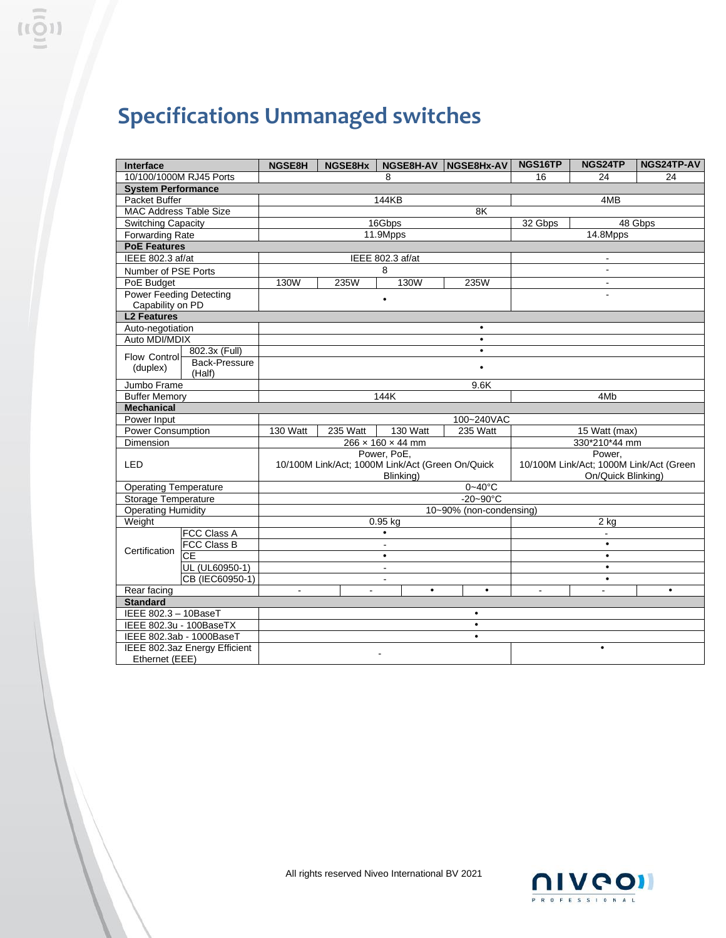## **Specifications Unmanaged switches**

| Interface                      |                      | <b>NGSE8H</b>                                    | NGSE8Hx        |                  |           | NGSE8H-AV NGSE8Hx-AV |  | NGS16TP                                 | NGS24TP   | NGS24TP-AV |  |  |
|--------------------------------|----------------------|--------------------------------------------------|----------------|------------------|-----------|----------------------|--|-----------------------------------------|-----------|------------|--|--|
| 10/100/1000M RJ45 Ports        |                      | 8                                                |                |                  |           |                      |  | 16                                      | 24        | 24         |  |  |
| <b>System Performance</b>      |                      |                                                  |                |                  |           |                      |  |                                         |           |            |  |  |
| Packet Buffer                  |                      | 144KB<br>4MB                                     |                |                  |           |                      |  |                                         |           |            |  |  |
| MAC Address Table Size         |                      |                                                  |                |                  |           |                      |  |                                         |           |            |  |  |
| <b>Switching Capacity</b>      |                      | 16Gbps                                           |                |                  |           |                      |  | 32 Gbps<br>48 Gbps                      |           |            |  |  |
| <b>Forwarding Rate</b>         |                      | 11.9Mpps                                         |                |                  |           |                      |  | 14.8Mpps                                |           |            |  |  |
| <b>PoE Features</b>            |                      |                                                  |                |                  |           |                      |  |                                         |           |            |  |  |
| IEEE 802.3 af/at               |                      |                                                  |                | IEEE 802.3 af/at |           |                      |  |                                         |           |            |  |  |
| Number of PSE Ports            |                      |                                                  |                | 8                |           |                      |  |                                         |           |            |  |  |
| PoE Budget                     |                      | 130W<br>235W<br>130W<br>235W                     |                |                  |           |                      |  | $\blacksquare$                          |           |            |  |  |
| <b>Power Feeding Detecting</b> |                      | $\bullet$                                        |                |                  |           |                      |  | $\overline{a}$                          |           |            |  |  |
| Capability on PD               |                      |                                                  |                |                  |           |                      |  |                                         |           |            |  |  |
|                                | <b>L2 Features</b>   |                                                  |                |                  |           |                      |  |                                         |           |            |  |  |
| Auto-negotiation               |                      | $\bullet$                                        |                |                  |           |                      |  |                                         |           |            |  |  |
| Auto MDI/MDIX                  |                      | $\bullet$                                        |                |                  |           |                      |  |                                         |           |            |  |  |
| Flow Control                   | 802.3x (Full)        | $\bullet$                                        |                |                  |           |                      |  |                                         |           |            |  |  |
| (duplex)                       | <b>Back-Pressure</b> | $\bullet$                                        |                |                  |           |                      |  |                                         |           |            |  |  |
| Jumbo Frame                    | (Half)               |                                                  |                |                  |           |                      |  |                                         |           |            |  |  |
| <b>Buffer Memory</b>           |                      | 9.6K<br>144K                                     |                |                  |           |                      |  | 4M <sub>b</sub>                         |           |            |  |  |
| <b>Mechanical</b>              |                      |                                                  |                |                  |           |                      |  |                                         |           |            |  |  |
| Power Input                    |                      | 100~240VAC                                       |                |                  |           |                      |  |                                         |           |            |  |  |
| Power Consumption              |                      | 130 Watt<br>130 Watt<br>235 Watt<br>235 Watt     |                |                  |           |                      |  | 15 Watt (max)                           |           |            |  |  |
| Dimension                      |                      | $266 \times 160 \times 44$ mm                    |                |                  |           |                      |  | 330*210*44 mm                           |           |            |  |  |
|                                |                      |                                                  | Power, PoE.    |                  |           |                      |  |                                         | Power.    |            |  |  |
| LED                            |                      | 10/100M Link/Act; 1000M Link/Act (Green On/Quick |                |                  |           |                      |  | 10/100M Link/Act; 1000M Link/Act (Green |           |            |  |  |
|                                |                      | Blinking)                                        |                |                  |           |                      |  | On/Quick Blinking)                      |           |            |  |  |
| <b>Operating Temperature</b>   |                      | $0 - 40$ °C                                      |                |                  |           |                      |  |                                         |           |            |  |  |
| <b>Storage Temperature</b>     |                      | $-20-90^{\circ}$ C                               |                |                  |           |                      |  |                                         |           |            |  |  |
| <b>Operating Humidity</b>      |                      | 10~90% (non-condensing)                          |                |                  |           |                      |  |                                         |           |            |  |  |
| Weight                         |                      | $0.95$ kg                                        |                |                  |           |                      |  | $2$ kg                                  |           |            |  |  |
|                                | FCC Class A          | $\bullet$                                        |                |                  |           |                      |  | ÷.                                      |           |            |  |  |
| Certification                  | <b>FCC Class B</b>   | $\blacksquare$                                   |                |                  |           |                      |  | $\bullet$                               |           |            |  |  |
|                                | CE                   | $\bullet$                                        |                |                  |           |                      |  | $\bullet$                               |           |            |  |  |
|                                | UL (UL60950-1)       | $\mathbf{r}$                                     |                |                  |           |                      |  | $\bullet$                               |           |            |  |  |
|                                | CB (IEC60950-1)      | $\blacksquare$                                   |                |                  |           |                      |  |                                         | $\bullet$ |            |  |  |
| Rear facing                    |                      | $\sim$                                           | $\blacksquare$ |                  | $\bullet$ | $\bullet$            |  | $\sim$                                  | $\sim$    | $\bullet$  |  |  |
| <b>Standard</b>                |                      |                                                  |                |                  |           |                      |  |                                         |           |            |  |  |
| IEEE 802.3 - 10BaseT           |                      | $\bullet$                                        |                |                  |           |                      |  |                                         |           |            |  |  |
| IEEE 802.3u - 100BaseTX        |                      | $\bullet$                                        |                |                  |           |                      |  |                                         |           |            |  |  |
| IEEE 802.3ab - 1000BaseT       |                      | $\bullet$                                        |                |                  |           |                      |  |                                         |           |            |  |  |
| IEEE 802.3az Energy Efficient  |                      | $\bullet$                                        |                |                  |           |                      |  |                                         |           |            |  |  |
| Ethernet (EEE)                 |                      |                                                  |                |                  |           |                      |  |                                         |           |            |  |  |